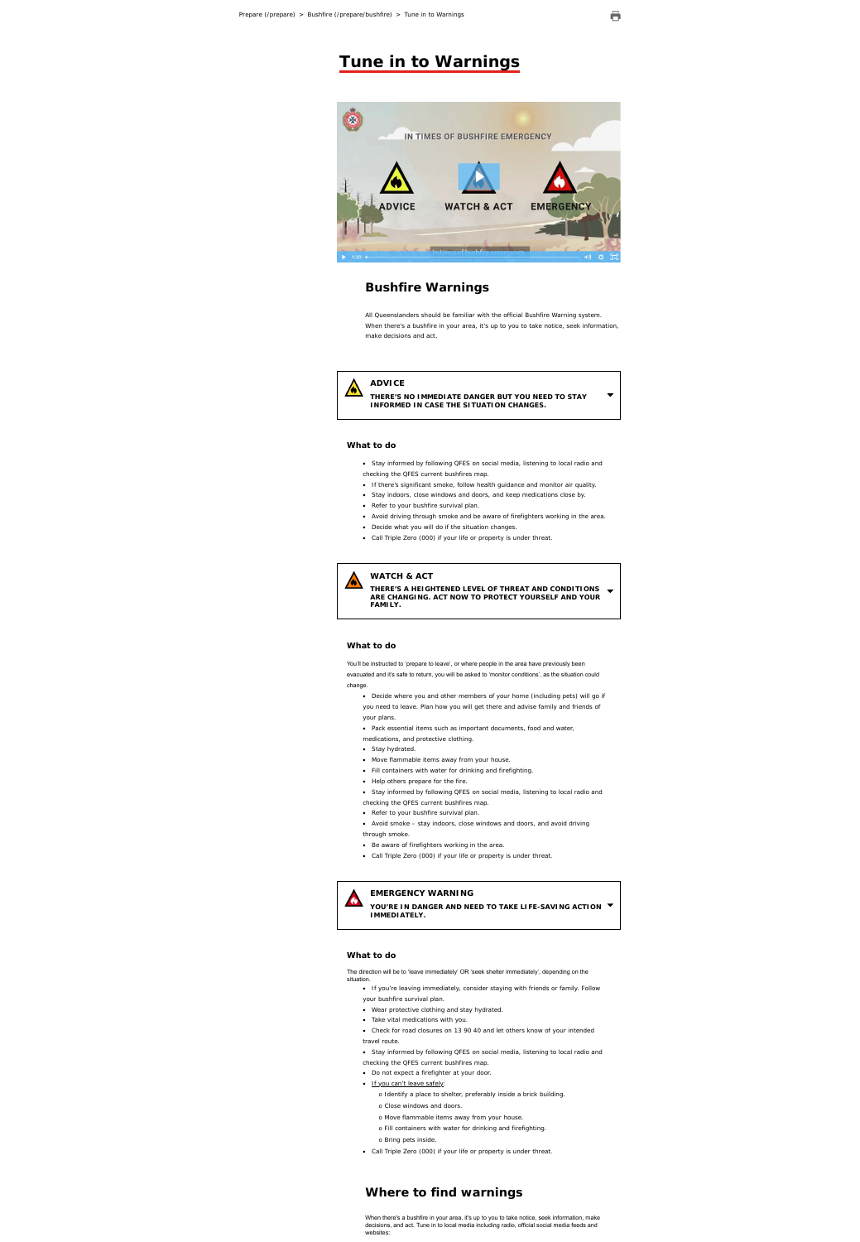

## IN TIMES OF BUSHFIRE EMERGENCY



# **Bushfire Warnings**

All Queenslanders should be familiar with the official Bushfire Warning system. When there's a bushfire in your area, it's up to you to take notice, seek information, make decisions and act.

## **ADVICE**

**THERE'S NO IMMEDIATE DANGER BUT YOU NEED TO STAY INFORMED IN CASE THE SITUATION CHANGES.**

## **What to do**

- Stay informed by following QFES on social media, listening to local radio and checking the QFES current bushfires map.
- If there's significant smoke, follow health guidance and monitor air quality.
- Stay indoors, close windows and doors, and keep medications close by.
- Refer to your bushfire survival plan.
- Avoid driving through smoke and be aware of firefighters working in the area.
- Decide what you will do if the situation changes.
- Call Triple Zero (000) if your life or property is under threat.



## **WATCH & ACT**

**THERE'S A HEIGHTENED LEVEL OF THREAT AND CONDITIONS ARE CHANGING. ACT NOW TO PROTECT YOURSELF AND YOUR FAMILY.**

## **What to do**

You'll be instructed to 'prepare to leave', or where people in the area have previously been evacuated and it's safe to return, you will be asked to 'monitor conditions', as the situation could change.

- If you're leaving immediately, consider staying with friends or family. Follow your bushfire survival plan.
- Wear protective clothing and stay hydrated.
- Take vital medications with you.
- Check for road closures on 13 90 40 and let others know of your intended travel route.
- Stay informed by following QFES on social media, listening to local radio and checking the QFES current bushfires map.
- Do not expect a firefighter at your door.
- If you can't leave safely:
	- o Identify a place to shelter, preferably inside a brick building.
	- o Close windows and doors.
	- o Move flammable items away from your house.
	- o Fill containers with water for drinking and firefighting.
	- o Bring pets inside.
- Call Triple Zero (000) if your life or property is under threat.
- Decide where you and other members of your home (including pets) will go if you need to leave. Plan how you will get there and advise family and friends of your plans.
- Pack essential items such as important documents, food and water, medications, and protective clothing.
- Stay hydrated.
- Move flammable items away from your house.
- Fill containers with water for drinking and firefighting.
- Help others prepare for the fire.
- Stay informed by following QFES on social media, listening to local radio and checking the QFES current bushfires map.
- Refer to your bushfire survival plan.
- Avoid smoke stay indoors, close windows and doors, and avoid driving through smoke.
- Be aware of firefighters working in the area.
- Call Triple Zero (000) if your life or property is under threat.





#### **EMERGENCY WARNING**

**YOU'RE IN DANGER AND NEED TO TAKE LIFE-SAVING ACTION IMMEDIATELY.**

## **What to do**

The direction will be to 'leave immediately' OR 'seek shelter immediately', depending on the situation.